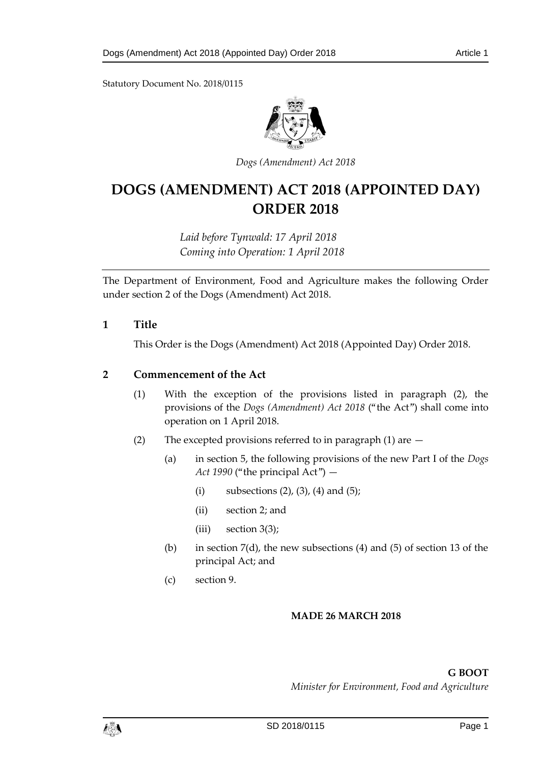Statutory Document No. 2018/0115



*Dogs (Amendment) Act 2018*

# **DOGS (AMENDMENT) ACT 2018 (APPOINTED DAY) ORDER 2018**

*Laid before Tynwald: 17 April 2018 Coming into Operation: 1 April 2018*

The Department of Environment, Food and Agriculture makes the following Order under section 2 of the Dogs (Amendment) Act 2018.

### **1 Title**

This Order is the Dogs (Amendment) Act 2018 (Appointed Day) Order 2018.

#### **2 Commencement of the Act**

- (1) With the exception of the provisions listed in paragraph (2), the provisions of the *Dogs (Amendment) Act 2018* ("the Act") shall come into operation on 1 April 2018.
- (2) The excepted provisions referred to in paragraph (1) are
	- (a) in section 5, the following provisions of the new Part I of the *Dogs Act 1990* ("the principal Act") —
		- (i) subsections  $(2)$ ,  $(3)$ ,  $(4)$  and  $(5)$ ;
		- (ii) section 2; and
		- (iii) section 3(3);
	- (b) in section  $7(d)$ , the new subsections (4) and (5) of section 13 of the principal Act; and
	- (c) section 9.

#### **MADE 26 MARCH 2018**

**G BOOT** *Minister for Environment, Food and Agriculture*